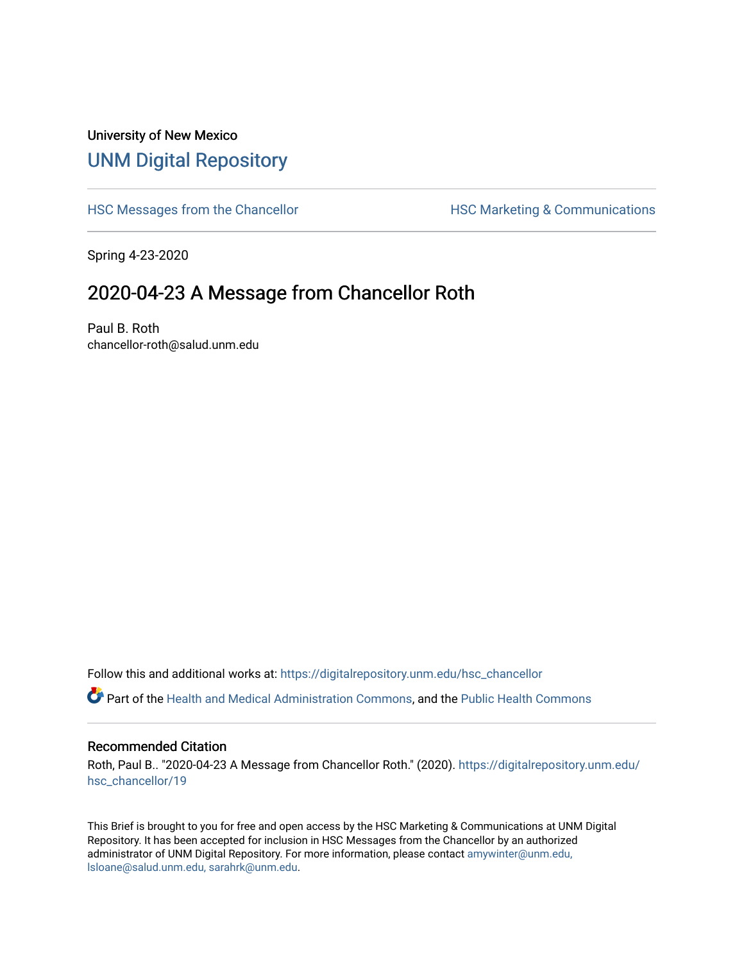## University of New Mexico [UNM Digital Repository](https://digitalrepository.unm.edu/)

[HSC Messages from the Chancellor](https://digitalrepository.unm.edu/hsc_chancellor) **HSC Marketing & Communications** 

Spring 4-23-2020

## 2020-04-23 A Message from Chancellor Roth

Paul B. Roth chancellor-roth@salud.unm.edu

Follow this and additional works at: [https://digitalrepository.unm.edu/hsc\\_chancellor](https://digitalrepository.unm.edu/hsc_chancellor?utm_source=digitalrepository.unm.edu%2Fhsc_chancellor%2F19&utm_medium=PDF&utm_campaign=PDFCoverPages) 

Part of the [Health and Medical Administration Commons](http://network.bepress.com/hgg/discipline/663?utm_source=digitalrepository.unm.edu%2Fhsc_chancellor%2F19&utm_medium=PDF&utm_campaign=PDFCoverPages), and the [Public Health Commons](http://network.bepress.com/hgg/discipline/738?utm_source=digitalrepository.unm.edu%2Fhsc_chancellor%2F19&utm_medium=PDF&utm_campaign=PDFCoverPages) 

## Recommended Citation

Roth, Paul B.. "2020-04-23 A Message from Chancellor Roth." (2020). [https://digitalrepository.unm.edu/](https://digitalrepository.unm.edu/hsc_chancellor/19?utm_source=digitalrepository.unm.edu%2Fhsc_chancellor%2F19&utm_medium=PDF&utm_campaign=PDFCoverPages) [hsc\\_chancellor/19](https://digitalrepository.unm.edu/hsc_chancellor/19?utm_source=digitalrepository.unm.edu%2Fhsc_chancellor%2F19&utm_medium=PDF&utm_campaign=PDFCoverPages) 

This Brief is brought to you for free and open access by the HSC Marketing & Communications at UNM Digital Repository. It has been accepted for inclusion in HSC Messages from the Chancellor by an authorized administrator of UNM Digital Repository. For more information, please contact [amywinter@unm.edu,](mailto:amywinter@unm.edu,%20lsloane@salud.unm.edu,%20sarahrk@unm.edu) [lsloane@salud.unm.edu, sarahrk@unm.edu.](mailto:amywinter@unm.edu,%20lsloane@salud.unm.edu,%20sarahrk@unm.edu)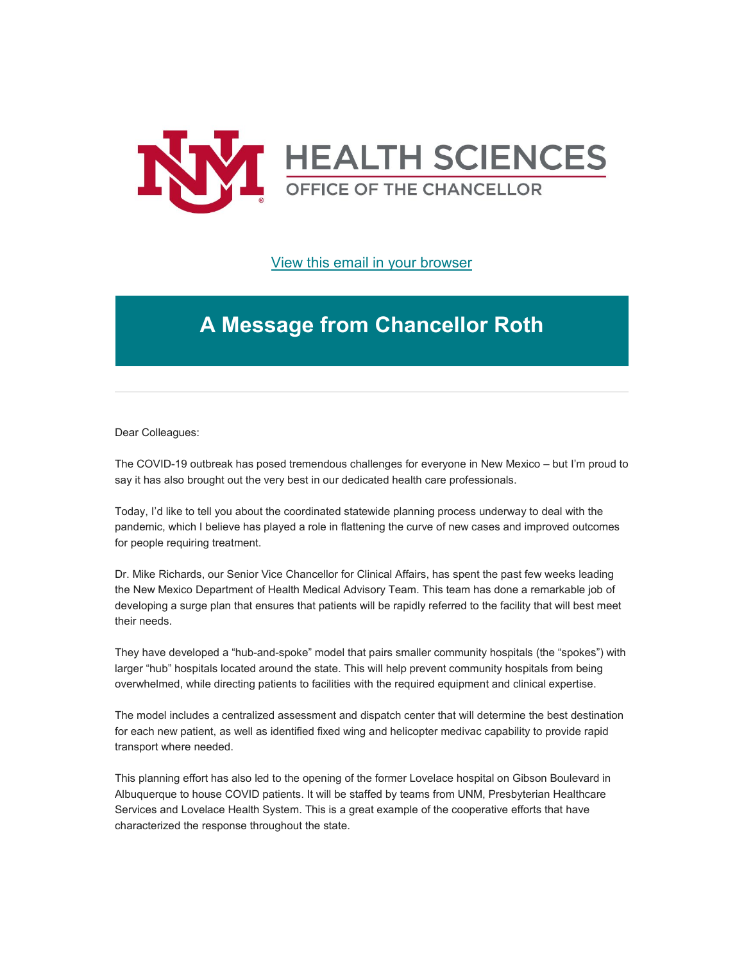

[View this email in your browser](https://mailchi.mp/ea49c2c1b9d0/message-from-the-chancellor-coronavirus-4396040?e=b4bbfca2c0)

## **A Message from Chancellor Roth**

Dear Colleagues:

The COVID-19 outbreak has posed tremendous challenges for everyone in New Mexico – but I'm proud to say it has also brought out the very best in our dedicated health care professionals.

Today, I'd like to tell you about the coordinated statewide planning process underway to deal with the pandemic, which I believe has played a role in flattening the curve of new cases and improved outcomes for people requiring treatment.

Dr. Mike Richards, our Senior Vice Chancellor for Clinical Affairs, has spent the past few weeks leading the New Mexico Department of Health Medical Advisory Team. This team has done a remarkable job of developing a surge plan that ensures that patients will be rapidly referred to the facility that will best meet their needs.

They have developed a "hub-and-spoke" model that pairs smaller community hospitals (the "spokes") with larger "hub" hospitals located around the state. This will help prevent community hospitals from being overwhelmed, while directing patients to facilities with the required equipment and clinical expertise.

The model includes a centralized assessment and dispatch center that will determine the best destination for each new patient, as well as identified fixed wing and helicopter medivac capability to provide rapid transport where needed.

This planning effort has also led to the opening of the former Lovelace hospital on Gibson Boulevard in Albuquerque to house COVID patients. It will be staffed by teams from UNM, Presbyterian Healthcare Services and Lovelace Health System. This is a great example of the cooperative efforts that have characterized the response throughout the state.